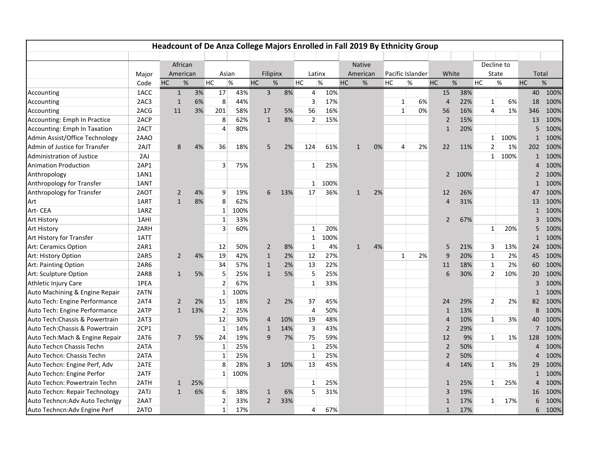|                                 |       |                |          |                |      | Headcount of De Anza College Majors Enrolled in Fall 2019 By Ethnicity Group |      |                |      |           |               |    |    |                  |    |                |      |            |                |      |                |      |
|---------------------------------|-------|----------------|----------|----------------|------|------------------------------------------------------------------------------|------|----------------|------|-----------|---------------|----|----|------------------|----|----------------|------|------------|----------------|------|----------------|------|
|                                 |       |                | African  |                |      |                                                                              |      |                |      |           | <b>Native</b> |    |    |                  |    |                |      | Decline to |                |      |                |      |
|                                 | Major |                | American | Asian          |      | Filipinx                                                                     |      | Latinx         |      |           | American      |    |    | Pacific Islander |    | White          |      |            | State          |      | Total          |      |
|                                 | Code  | HC             | $\%$     | HC             | $\%$ | HC                                                                           | $\%$ | HC             | $\%$ | <b>HC</b> | $\%$          |    | HC | $\%$             | HC |                | $\%$ | <b>HC</b>  | $\%$           |      | HC             | $\%$ |
| Accounting                      | 1ACC  | $\mathbf{1}$   | 3%       | 17             | 43%  | $\overline{3}$                                                               | 8%   | $\overline{4}$ | 10%  |           |               |    |    |                  |    | 15             | 38%  |            |                |      | 40             | 100% |
| Accounting                      | 2AC3  | $\mathbf{1}$   | 6%       | 8              | 44%  |                                                                              |      | 3              | 17%  |           |               |    |    | 1                | 6% | $\overline{4}$ | 22%  |            | $\mathbf{1}$   | 6%   | 18             | 100% |
| Accounting                      | 2ACG  | 11             | 3%       | 201            | 58%  | 17                                                                           | 5%   | 56             | 16%  |           |               |    |    | $\mathbf{1}$     | 0% | 56             | 16%  |            | 4              | 1%   | 346            | 100% |
| Accounting: Emph In Practice    | 2ACP  |                |          | 8              | 62%  | $\mathbf{1}$                                                                 | 8%   | $\overline{2}$ | 15%  |           |               |    |    |                  |    | $\overline{2}$ | 15%  |            |                |      | 13             | 100% |
| Accounting: Emph In Taxation    | 2ACT  |                |          | $\overline{4}$ | 80%  |                                                                              |      |                |      |           |               |    |    |                  |    | $\mathbf{1}$   | 20%  |            |                |      | 5              | 100% |
| Admin Assist/Office Technology  | 2AAO  |                |          |                |      |                                                                              |      |                |      |           |               |    |    |                  |    |                |      |            | 1              | 100% | $\mathbf{1}$   | 100% |
| Admin of Justice for Transfer   | 2AJT  | 8              | 4%       | 36             | 18%  | 5                                                                            | 2%   | 124            | 61%  |           | $\mathbf{1}$  | 0% |    | 4                | 2% | 22             | 11%  |            | $\overline{2}$ | 1%   | 202            | 100% |
| Administration of Justice       | 2AJ   |                |          |                |      |                                                                              |      |                |      |           |               |    |    |                  |    |                |      |            | 1              | 100% | $\mathbf{1}$   | 100% |
| <b>Animation Production</b>     | 2AP1  |                |          | 3              | 75%  |                                                                              |      | $\mathbf{1}$   | 25%  |           |               |    |    |                  |    |                |      |            |                |      | $\overline{4}$ | 100% |
| Anthropology                    | 1AN1  |                |          |                |      |                                                                              |      |                |      |           |               |    |    |                  |    | $\overline{2}$ | 100% |            |                |      | $\overline{2}$ | 100% |
| Anthropology for Transfer       | 1ANT  |                |          |                |      |                                                                              |      | $\mathbf{1}$   | 100% |           |               |    |    |                  |    |                |      |            |                |      | $\mathbf{1}$   | 100% |
| Anthropology for Transfer       | 2AOT  | 2              | 4%       | 9              | 19%  | 6                                                                            | 13%  | 17             | 36%  |           | $\mathbf{1}$  | 2% |    |                  |    | 12             | 26%  |            |                |      | 47             | 100% |
| Art                             | 1ART  | $\mathbf{1}$   | 8%       | 8              | 62%  |                                                                              |      |                |      |           |               |    |    |                  |    | $\overline{4}$ | 31%  |            |                |      | 13             | 100% |
| Art-CEA                         | 1ARZ  |                |          | $\mathbf{1}$   | 100% |                                                                              |      |                |      |           |               |    |    |                  |    |                |      |            |                |      | $\mathbf{1}$   | 100% |
| <b>Art History</b>              | 1AHI  |                |          | $\mathbf{1}$   | 33%  |                                                                              |      |                |      |           |               |    |    |                  |    | $\overline{2}$ | 67%  |            |                |      | 3              | 100% |
| <b>Art History</b>              | 2ARH  |                |          | $\overline{3}$ | 60%  |                                                                              |      | 1              | 20%  |           |               |    |    |                  |    |                |      |            | $\mathbf{1}$   | 20%  | 5              | 100% |
| Art History for Transfer        | 1ATT  |                |          |                |      |                                                                              |      | $\mathbf{1}$   | 100% |           |               |    |    |                  |    |                |      |            |                |      | $\mathbf{1}$   | 100% |
| Art: Ceramics Option            | 2AR1  |                |          | 12             | 50%  | 2                                                                            | 8%   | 1              | 4%   |           | $\mathbf{1}$  | 4% |    |                  |    | 5              | 21%  |            | 3              | 13%  | 24             | 100% |
| Art: History Option             | 2AR5  | $\overline{2}$ | 4%       | 19             | 42%  | $\mathbf{1}$                                                                 | 2%   | 12             | 27%  |           |               |    |    | $\mathbf{1}$     | 2% | 9              | 20%  |            | $\mathbf{1}$   | 2%   | 45             | 100% |
| Art: Painting Option            | 2AR6  |                |          | 34             | 57%  | $\mathbf{1}$                                                                 | 2%   | 13             | 22%  |           |               |    |    |                  |    | 11             | 18%  |            | $\mathbf{1}$   | 2%   | 60             | 100% |
| Art: Sculpture Option           | 2AR8  | $\mathbf{1}$   | 5%       | 5              | 25%  | $\mathbf{1}$                                                                 | 5%   | 5              | 25%  |           |               |    |    |                  |    | 6              | 30%  |            | $\overline{2}$ | 10%  | 20             | 100% |
| Athletic Injury Care            | 1PEA  |                |          | $\overline{2}$ | 67%  |                                                                              |      | $\mathbf{1}$   | 33%  |           |               |    |    |                  |    |                |      |            |                |      | 3              | 100% |
| Auto Machining & Engine Repair  | 2ATN  |                |          | $\mathbf{1}$   | 100% |                                                                              |      |                |      |           |               |    |    |                  |    |                |      |            |                |      | $\mathbf{1}$   | 100% |
| Auto Tech: Engine Performance   | 2AT4  | 2              | 2%       | 15             | 18%  | $\overline{2}$                                                               | 2%   | 37             | 45%  |           |               |    |    |                  |    | 24             | 29%  |            | $\overline{2}$ | 2%   | 82             | 100% |
| Auto Tech: Engine Performance   | 2ATP  | $\mathbf{1}$   | 13%      | $\overline{2}$ | 25%  |                                                                              |      | 4              | 50%  |           |               |    |    |                  |    | $\mathbf{1}$   | 13%  |            |                |      | 8              | 100% |
| Auto Tech: Chassis & Powertrain | 2AT3  |                |          | 12             | 30%  | 4                                                                            | 10%  | 19             | 48%  |           |               |    |    |                  |    | $\overline{4}$ | 10%  |            | $\mathbf{1}$   | 3%   | 40             | 100% |
| Auto Tech: Chassis & Powertrain | 2CP1  |                |          | $\mathbf{1}$   | 14%  | $\mathbf{1}$                                                                 | 14%  | 3              | 43%  |           |               |    |    |                  |    | $\overline{2}$ | 29%  |            |                |      | 7              | 100% |
| Auto Tech: Mach & Engine Repair | 2AT6  | 7              | 5%       | 24             | 19%  | 9                                                                            | 7%   | 75             | 59%  |           |               |    |    |                  |    | 12             | 9%   |            | $\mathbf{1}$   | 1%   | 128            | 100% |
| Auto Techcn Chassis Techn       | 2ATA  |                |          | 1              | 25%  |                                                                              |      | 1              | 25%  |           |               |    |    |                  |    | $\overline{2}$ | 50%  |            |                |      | $\overline{4}$ | 100% |
| Auto Techcn: Chassis Techn      | 2ATA  |                |          | $\mathbf{1}$   | 25%  |                                                                              |      | $\mathbf{1}$   | 25%  |           |               |    |    |                  |    | $\overline{2}$ | 50%  |            |                |      | $\Delta$       | 100% |
| Auto Techcn: Engine Perf, Adv   | 2ATE  |                |          | 8              | 28%  | 3                                                                            | 10%  | 13             | 45%  |           |               |    |    |                  |    | $\overline{4}$ | 14%  |            | $\mathbf{1}$   | 3%   | 29             | 100% |
| Auto Techcn: Engine Perfor      | 2ATF  |                |          | $\mathbf{1}$   | 100% |                                                                              |      |                |      |           |               |    |    |                  |    |                |      |            |                |      | $\mathbf{1}$   | 100% |
| Auto Techcn: Powertrain Techn   | 2ATH  | $\mathbf{1}$   | 25%      |                |      |                                                                              |      | 1              | 25%  |           |               |    |    |                  |    | $\mathbf{1}$   | 25%  |            | $\mathbf{1}$   | 25%  | $\Delta$       | 100% |
| Auto Techcn: Repair Technology  | 2ATJ  | $\mathbf{1}$   | 6%       | 6              | 38%  | $\mathbf{1}$                                                                 | 6%   | 5              | 31%  |           |               |    |    |                  |    | 3              | 19%  |            |                |      | 16             | 100% |
| Auto Techncn: Adv Auto Technigy | 2AAT  |                |          | $\overline{2}$ | 33%  | $\overline{2}$                                                               | 33%  |                |      |           |               |    |    |                  |    | $\mathbf{1}$   | 17%  |            | $\mathbf{1}$   | 17%  | 6              | 100% |
| Auto Techncn: Adv Engine Perf   | 2ATO  |                |          | $\mathbf{1}$   | 17%  |                                                                              |      | $\overline{4}$ | 67%  |           |               |    |    |                  |    | $\mathbf{1}$   | 17%  |            |                |      | 6              | 100% |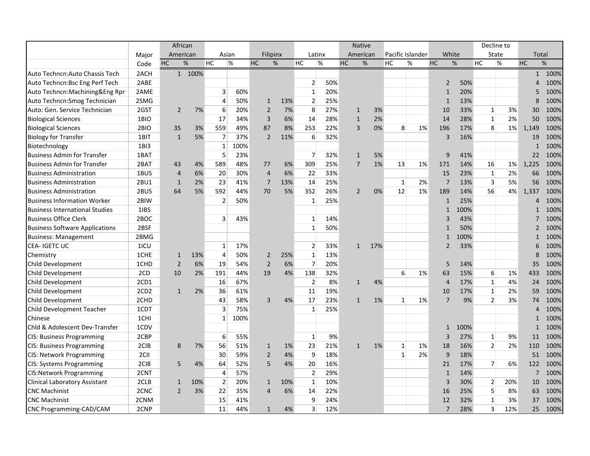|                                       |                  | African        |        |                |      |                |     |                |     | <b>Native</b>  |     |              |                  |                |      | Decline to     |     |                |       |
|---------------------------------------|------------------|----------------|--------|----------------|------|----------------|-----|----------------|-----|----------------|-----|--------------|------------------|----------------|------|----------------|-----|----------------|-------|
|                                       | Major            | American       |        | Asian          |      | Filipinx       |     | Latinx         |     | American       |     |              | Pacific Islander | White          |      | State          |     |                | Total |
|                                       | Code             | $\%$<br>HC     |        | HC             | %    | HC             | %   | HC             | %   | <b>HC</b>      | %   | HC           | $\%$             | HC             | %    | HC             | %   | <b>HC</b>      | %     |
| Auto Techncn: Auto Chassis Tech       | 2ACH             |                | 1 100% |                |      |                |     |                |     |                |     |              |                  |                |      |                |     | $\mathbf{1}$   | 100%  |
| Auto Techncn: Bsc Eng Perf Tech       | 2ABE             |                |        |                |      |                |     | $\overline{2}$ | 50% |                |     |              |                  | $\overline{2}$ | 50%  |                |     | 4              | 100%  |
| Auto Techncn: Machining & Eng Rpr     | 2AME             |                |        | 3              | 60%  |                |     | $\mathbf{1}$   | 20% |                |     |              |                  | $\mathbf{1}$   | 20%  |                |     | 5              | 100%  |
| Auto Techncn: Smog Technician         | 2SMG             |                |        | $\overline{4}$ | 50%  | $\mathbf{1}$   | 13% | $\overline{2}$ | 25% |                |     |              |                  | $\mathbf{1}$   | 13%  |                |     | 8              | 100%  |
| Auto: Gen. Service Technician         | 2GST             | $\overline{2}$ | 7%     | 6              | 20%  | $\overline{2}$ | 7%  | 8              | 27% | $\mathbf{1}$   | 3%  |              |                  | 10             | 33%  | $\mathbf{1}$   | 3%  | 30             | 100%  |
| <b>Biological Sciences</b>            | 1BIO             |                |        | 17             | 34%  | 3              | 6%  | 14             | 28% | $\mathbf{1}$   | 2%  |              |                  | 14             | 28%  | $\mathbf{1}$   | 2%  | 50             | 100%  |
| <b>Biological Sciences</b>            | 2BIO             | 35             | 3%     | 559            | 49%  | 87             | 8%  | 253            | 22% | 3              | 0%  | 8            | 1%               | 196            | 17%  | 8              | 1%  | 1,149          | 100%  |
| <b>Biology for Transfer</b>           | 1BIT             | $\mathbf{1}$   | 5%     | $\overline{7}$ | 37%  | $\overline{2}$ | 11% | 6              | 32% |                |     |              |                  | 3              | 16%  |                |     | 19             | 100%  |
| Biotechnology                         | 1BI3             |                |        | $\mathbf{1}$   | 100% |                |     |                |     |                |     |              |                  |                |      |                |     | $\mathbf{1}$   | 100%  |
| <b>Business Admin for Transfer</b>    | 1BAT             |                |        | 5              | 23%  |                |     | 7              | 32% | $\mathbf{1}$   | 5%  |              |                  | 9              | 41%  |                |     | 22             | 100%  |
| <b>Business Admin for Transfer</b>    | 2BAT             | 43             | 4%     | 589            | 48%  | 77             | 6%  | 309            | 25% | $\overline{7}$ | 1%  | 13           | 1%               | 171            | 14%  | 16             | 1%  | 1,225          | 100%  |
| <b>Business Administration</b>        | 1BUS             | $\overline{4}$ | 6%     | 20             | 30%  | $\overline{4}$ | 6%  | 22             | 33% |                |     |              |                  | 15             | 23%  | $\mathbf{1}$   | 2%  | 66             | 100%  |
| <b>Business Administration</b>        | 2BU1             | $\mathbf{1}$   | 2%     | 23             | 41%  | $\overline{7}$ | 13% | 14             | 25% |                |     | $\mathbf{1}$ | 2%               | $\overline{7}$ | 13%  | 3              | 5%  | 56             | 100%  |
| <b>Business Administration</b>        | 2BUS             | 64             | 5%     | 592            | 44%  | 70             | 5%  | 352            | 26% | $\overline{2}$ | 0%  | 12           | 1%               | 189            | 14%  | 56             | 4%  | 1,337          | 100%  |
| <b>Business Information Worker</b>    | 2BIW             |                |        | $\overline{2}$ | 50%  |                |     | $\mathbf{1}$   | 25% |                |     |              |                  | $\mathbf{1}$   | 25%  |                |     | 4              | 100%  |
| <b>Business International Studies</b> | 1IBS             |                |        |                |      |                |     |                |     |                |     |              |                  | $\mathbf{1}$   | 100% |                |     | $\mathbf{1}$   | 100%  |
| <b>Business Office Clerk</b>          | 2BOC             |                |        | 3              | 43%  |                |     | $\mathbf{1}$   | 14% |                |     |              |                  | $\overline{3}$ | 43%  |                |     | $\overline{7}$ | 100%  |
| <b>Business Software Applications</b> | 2BSF             |                |        |                |      |                |     | 1              | 50% |                |     |              |                  | $\mathbf{1}$   | 50%  |                |     | $\overline{2}$ | 100%  |
| <b>Business: Management</b>           | 2BMG             |                |        |                |      |                |     |                |     |                |     |              |                  | $\mathbf{1}$   | 100% |                |     | $\mathbf{1}$   | 100%  |
| CEA-IGETC UC                          | 1ICU             |                |        | $\mathbf{1}$   | 17%  |                |     | $\overline{2}$ | 33% | $\mathbf{1}$   | 17% |              |                  | 2              | 33%  |                |     | 6              | 100%  |
| Chemistry                             | 1CHE             | $\mathbf{1}$   | 13%    | 4              | 50%  | $\overline{2}$ | 25% | $\mathbf{1}$   | 13% |                |     |              |                  |                |      |                |     | 8              | 100%  |
| Child Development                     | 1CHD             | $\overline{2}$ | 6%     | 19             | 54%  | $\overline{2}$ | 6%  | $\overline{7}$ | 20% |                |     |              |                  | 5              | 14%  |                |     | 35             | 100%  |
| Child Development                     | 2CD              | 10             | 2%     | 191            | 44%  | 19             | 4%  | 138            | 32% |                |     | 6            | 1%               | 63             | 15%  | 6              | 1%  | 433            | 100%  |
| Child Development                     | 2CD1             |                |        | 16             | 67%  |                |     | $\overline{2}$ | 8%  | $\mathbf{1}$   | 4%  |              |                  | $\overline{4}$ | 17%  | $1\,$          | 4%  | 24             | 100%  |
| Child Development                     | 2CD <sub>2</sub> | $\mathbf{1}$   | 2%     | 36             | 61%  |                |     | 11             | 19% |                |     |              |                  | 10             | 17%  | $\mathbf 1$    | 2%  | 59             | 100%  |
| Child Development                     | 2CHD             |                |        | 43             | 58%  | 3              | 4%  | 17             | 23% | $\mathbf{1}$   | 1%  | $\mathbf{1}$ | 1%               | $\overline{7}$ | 9%   | $\overline{2}$ | 3%  | 74             | 100%  |
| <b>Child Development Teacher</b>      | 1CDT             |                |        | 3              | 75%  |                |     | $\mathbf{1}$   | 25% |                |     |              |                  |                |      |                |     | $\overline{4}$ | 100%  |
| Chinese                               | 1CHI             |                |        | 1              | 100% |                |     |                |     |                |     |              |                  |                |      |                |     | $\mathbf{1}$   | 100%  |
| Chld & Adolescent Dev-Transfer        | 1CDV             |                |        |                |      |                |     |                |     |                |     |              |                  | $\mathbf{1}$   | 100% |                |     | $\mathbf{1}$   | 100%  |
| <b>CIS: Business Programming</b>      | 2CBP             |                |        | 6              | 55%  |                |     | $\mathbf{1}$   | 9%  |                |     |              |                  | $\overline{3}$ | 27%  | $\mathbf{1}$   | 9%  | 11             | 100%  |
| <b>CIS: Business Programming</b>      | 2CIB             | 8              | 7%     | 56             | 51%  | $\mathbf{1}$   | 1%  | 23             | 21% | $\mathbf{1}$   | 1%  | $\mathbf{1}$ | 1%               | 18             | 16%  | $\overline{2}$ | 2%  | 110            | 100%  |
| CIS: Network Programming              | 2CII             |                |        | 30             | 59%  | $\overline{2}$ | 4%  | 9              | 18% |                |     | $\mathbf{1}$ | 2%               | $9\,$          | 18%  |                |     | 51             | 100%  |
| <b>CIS: Systems Programming</b>       | 2CI8             | 5              | 4%     | 64             | 52%  | 5              | 4%  | 20             | 16% |                |     |              |                  | 21             | 17%  | $\overline{7}$ | 6%  | 122            | 100%  |
| <b>CIS:Network Programming</b>        | 2CNT             |                |        | 4              | 57%  |                |     | $\overline{2}$ | 29% |                |     |              |                  | $\mathbf{1}$   | 14%  |                |     | $\overline{7}$ | 100%  |
| <b>Clinical Laboratory Assistant</b>  | 2CLB             | $\mathbf{1}$   | 10%    | $\overline{2}$ | 20%  | $\mathbf{1}$   | 10% | $\mathbf{1}$   | 10% |                |     |              |                  | $\overline{3}$ | 30%  | 2              | 20% | 10             | 100%  |
| <b>CNC Machinist</b>                  | 2CNC             | $\overline{2}$ | 3%     | 22             | 35%  | $\overline{4}$ | 6%  | 14             | 22% |                |     |              |                  | 16             | 25%  | 5              | 8%  | 63             | 100%  |
| <b>CNC Machinist</b>                  | 2CNM             |                |        | 15             | 41%  |                |     | 9              | 24% |                |     |              |                  | 12             | 32%  | $\mathbf{1}$   | 3%  | 37             | 100%  |
| CNC Programming-CAD/CAM               | 2CNP             |                |        | 11             | 44%  | $\mathbf{1}$   | 4%  | 3              | 12% |                |     |              |                  | $\overline{7}$ | 28%  | 3              | 12% | 25             | 100%  |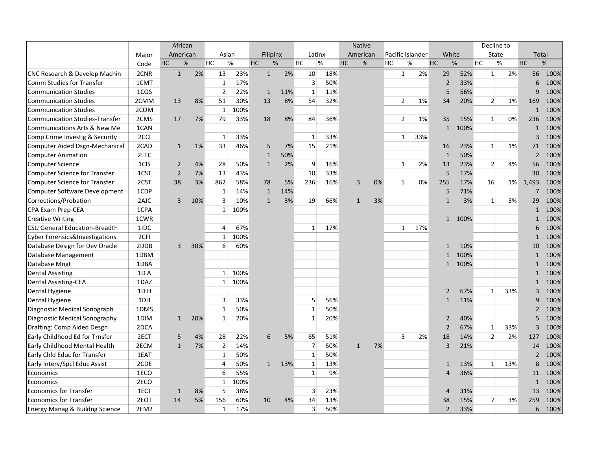|                                           |       | African        |     |                |      |              |     |                |     |    | <b>Native</b> |    |                  |      |                |      |           | Decline to     |     |                          |      |
|-------------------------------------------|-------|----------------|-----|----------------|------|--------------|-----|----------------|-----|----|---------------|----|------------------|------|----------------|------|-----------|----------------|-----|--------------------------|------|
|                                           | Major | American       |     | Asian          |      | Filipinx     |     | Latinx         |     |    | American      |    | Pacific Islander |      | White          |      |           | State          |     | Total                    |      |
|                                           | Code  | $\%$<br>HC     |     | HC             | $\%$ | HC           | %   | <b>HC</b>      | %   | HC | %             |    | HC               | $\%$ | <b>HC</b>      | %    | <b>HC</b> | $\%$           |     | <b>HC</b>                | $\%$ |
| CNC Research & Develop Machin             | 2CNR  | $\mathbf{1}$   | 2%  | 13             | 23%  | $\mathbf{1}$ | 2%  | 10             | 18% |    |               |    | $\mathbf{1}$     | 2%   | 29             | 52%  |           | $\mathbf{1}$   | 2%  | 56                       | 100% |
| Comm Studies for Transfer                 | 1CMT  |                |     | $\mathbf{1}$   | 17%  |              |     | 3              | 50% |    |               |    |                  |      | $\overline{2}$ | 33%  |           |                |     | 6                        | 100% |
| <b>Communication Studies</b>              | 1COS  |                |     | $\overline{2}$ | 22%  | 1            | 11% | $\mathbf{1}$   | 11% |    |               |    |                  |      | 5              | 56%  |           |                |     | 9                        | 100% |
| <b>Communication Studies</b>              | 2CMM  | 13             | 8%  | 51             | 30%  | 13           | 8%  | 54             | 32% |    |               |    | $\overline{2}$   | 1%   | 34             | 20%  |           | 2 <sup>1</sup> | 1%  | 169                      | 100% |
| <b>Communication Studies</b>              | 2COM  |                |     | $\mathbf{1}$   | 100% |              |     |                |     |    |               |    |                  |      |                |      |           |                |     | $\mathbf{1}$             | 100% |
| <b>Communication Studies-Transfer</b>     | 2CMS  | 17             | 7%  | 79             | 33%  | 18           | 8%  | 84             | 36% |    |               |    | 2                | 1%   | 35             | 15%  |           | $\mathbf{1}$   | 0%  | 236                      | 100% |
| <b>Communications Arts &amp; New Me</b>   | 1CAN  |                |     |                |      |              |     |                |     |    |               |    |                  |      | $\mathbf{1}$   | 100% |           |                |     | $\mathbf{1}$             | 100% |
| Comp Crime Investig & Security            | 2CCI  |                |     | 1              | 33%  |              |     | 1              | 33% |    |               |    | $\mathbf{1}$     | 33%  |                |      |           |                |     | 3                        | 100% |
| Computer Aided Dsgn-Mechanical            | 2CAD  | $\mathbf{1}$   | 1%  | 33             | 46%  | 5            | 7%  | 15             | 21% |    |               |    |                  |      | 16             | 23%  |           | $\mathbf{1}$   | 1%  | 71                       | 100% |
| <b>Computer Animation</b>                 | 2FTC  |                |     |                |      | $\mathbf{1}$ | 50% |                |     |    |               |    |                  |      | $\mathbf{1}$   | 50%  |           |                |     | $\overline{2}$           | 100% |
| <b>Computer Science</b>                   | 1CIS  | $\overline{2}$ | 4%  | 28             | 50%  | $\mathbf{1}$ | 2%  | 9              | 16% |    |               |    | $\mathbf{1}$     | 2%   | 13             | 23%  |           | $\overline{2}$ | 4%  | 56                       | 100% |
| <b>Computer Science for Transfer</b>      | 1CST  | $\overline{2}$ | 7%  | 13             | 43%  |              |     | 10             | 33% |    |               |    |                  |      | 5              | 17%  |           |                |     | 30                       | 100% |
| <b>Computer Science for Transfer</b>      | 2CST  | 38             | 3%  | 862            | 58%  | 78           | 5%  | 236            | 16% |    | 3             | 0% | 5                | 0%   | 255            | 17%  |           | 16             | 1%  | 1,493                    | 100% |
| Computer Software Development             | 1CDP  |                |     | 1              | 14%  | $\mathbf{1}$ | 14% |                |     |    |               |    |                  |      | 5              | 71%  |           |                |     | 7                        | 100% |
| Corrections/Probation                     | 2AJC  | 3              | 10% | 3              | 10%  | $\mathbf{1}$ | 3%  | 19             | 66% |    | $\mathbf{1}$  | 3% |                  |      | $\mathbf{1}$   | 3%   |           | $\mathbf{1}$   | 3%  | 29                       | 100% |
| CPA Exam Prep-CEA                         | 1CPA  |                |     | $\mathbf{1}$   | 100% |              |     |                |     |    |               |    |                  |      |                |      |           |                |     | $\mathbf{1}$             | 100% |
| <b>Creative Writing</b>                   | 1CWR  |                |     |                |      |              |     |                |     |    |               |    |                  |      | $\mathbf{1}$   | 100% |           |                |     | $\mathbf{1}$             | 100% |
| <b>CSU General Education-Breadth</b>      | 1IDC  |                |     | 4              | 67%  |              |     | $\mathbf{1}$   | 17% |    |               |    | $\mathbf{1}$     | 17%  |                |      |           |                |     | 6                        | 100% |
| <b>Cyber Forensics&amp;Investigations</b> | 2CFI  |                |     | 1              | 100% |              |     |                |     |    |               |    |                  |      |                |      |           |                |     | $\mathbf{1}$             | 100% |
| Database Design for Dev Oracle            | 2DDB  | 3              | 30% | 6              | 60%  |              |     |                |     |    |               |    |                  |      | $\mathbf{1}$   | 10%  |           |                |     | 10                       | 100% |
| Database Management                       | 1DBM  |                |     |                |      |              |     |                |     |    |               |    |                  |      | $\mathbf{1}$   | 100% |           |                |     | $\mathbf{1}$             | 100% |
| Database Mngt                             | 1DBA  |                |     |                |      |              |     |                |     |    |               |    |                  |      | $\mathbf{1}$   | 100% |           |                |     | $\mathbf{1}$             | 100% |
| <b>Dental Assisting</b>                   | 1DA   |                |     | 1              | 100% |              |     |                |     |    |               |    |                  |      |                |      |           |                |     | $\mathbf{1}$             | 100% |
| <b>Dental Assisting-CEA</b>               | 1DAZ  |                |     | $\mathbf{1}$   | 100% |              |     |                |     |    |               |    |                  |      |                |      |           |                |     | $\mathbf{1}$             | 100% |
| Dental Hygiene                            | 1DH   |                |     |                |      |              |     |                |     |    |               |    |                  |      | 2              | 67%  |           | $\mathbf{1}$   | 33% | 3                        | 100% |
| Dental Hygiene                            | 1DH   |                |     | 3              | 33%  |              |     | 5              | 56% |    |               |    |                  |      | $\mathbf{1}$   | 11%  |           |                |     | 9                        | 100% |
| Diagnostic Medical Sonograph              | 1DMS  |                |     | $\mathbf{1}$   | 50%  |              |     | 1              | 50% |    |               |    |                  |      |                |      |           |                |     | $\overline{\phantom{0}}$ | 100% |
| Diagnostic Medical Sonography             | 1DIM  | $\mathbf{1}$   | 20% | $\mathbf{1}$   | 20%  |              |     | 1              | 20% |    |               |    |                  |      | $\overline{2}$ | 40%  |           |                |     | 5                        | 100% |
| Drafting: Comp Aided Desgn                | 2DCA  |                |     |                |      |              |     |                |     |    |               |    |                  |      | $\overline{2}$ | 67%  |           | $\mathbf{1}$   | 33% | 3                        | 100% |
| Early Childhood Ed for Trnsfer            | 2ECT  | 5              | 4%  | 28             | 22%  | 6            | 5%  | 65             | 51% |    |               |    | 3                | 2%   | 18             | 14%  |           | $\overline{2}$ | 2%  | 127                      | 100% |
| Early Childhood Mental Health             | 2ECM  | $\mathbf{1}$   | 7%  | $\overline{2}$ | 14%  |              |     | $\overline{7}$ | 50% |    | $\mathbf{1}$  | 7% |                  |      | $\overline{3}$ | 21%  |           |                |     | 14                       | 100% |
| Early Chld Educ for Transfer              | 1EAT  |                |     | $\mathbf{1}$   | 50%  |              |     | $\mathbf{1}$   | 50% |    |               |    |                  |      |                |      |           |                |     | $\overline{2}$           | 100% |
| Early Interv/Spcl Educ Assist             | 2CDE  |                |     | $\overline{4}$ | 50%  | $\mathbf{1}$ | 13% | $\mathbf{1}$   | 13% |    |               |    |                  |      | $\mathbf{1}$   | 13%  |           | $\mathbf{1}$   | 13% | 8                        | 100% |
| Economics                                 | 1ECO  |                |     | 6              | 55%  |              |     | $\mathbf{1}$   | 9%  |    |               |    |                  |      | 4              | 36%  |           |                |     | 11                       | 100% |
| Economics                                 | 2ECO  |                |     | 1              | 100% |              |     |                |     |    |               |    |                  |      |                |      |           |                |     | $\mathbf{1}$             | 100% |
| <b>Economics for Transfer</b>             | 1ECT  | 1              | 8%  | 5              | 38%  |              |     | 3              | 23% |    |               |    |                  |      | $\overline{4}$ | 31%  |           |                |     | 13                       | 100% |
| <b>Economics for Transfer</b>             | 2EOT  | 14             | 5%  | 156            | 60%  | 10           | 4%  | 34             | 13% |    |               |    |                  |      | 38             | 15%  |           | $\overline{7}$ | 3%  | 259                      | 100% |
| Energy Manag & Buildng Science            | 2EM2  |                |     | $\mathbf{1}$   | 17%  |              |     | 3              | 50% |    |               |    |                  |      | $\overline{2}$ | 33%  |           |                |     | 6                        | 100% |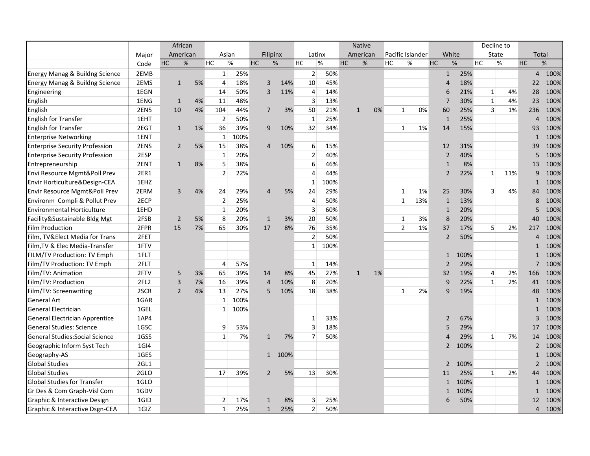|                                          |                  | African        |    |                |      |                |      |                |      |              | <b>Native</b> |    |                  |     |                       |      |    | Decline to     |     |           |                        |
|------------------------------------------|------------------|----------------|----|----------------|------|----------------|------|----------------|------|--------------|---------------|----|------------------|-----|-----------------------|------|----|----------------|-----|-----------|------------------------|
|                                          | Major            | American       |    | Asian          |      | Filipinx       |      | Latinx         |      |              | American      |    | Pacific Islander |     | White                 |      |    | State          |     |           | Total                  |
|                                          | Code             | HC<br>$\%$     |    | HC             | $\%$ | <b>HC</b>      | %    | HC             | %    | HC           | %             |    | HC               | %   | <b>HC</b>             | %    | HC | %              |     | <b>HC</b> | %                      |
| Energy Manag & Buildng Science           | 2EMB             |                |    | $\mathbf{1}$   | 25%  |                |      | 2 <sup>1</sup> | 50%  |              |               |    |                  |     | $\mathbf{1}$          | 25%  |    |                |     |           | $\overline{4}$<br>100% |
| Energy Manag & Buildng Science           | 2EMS             | $\mathbf{1}$   | 5% | $\overline{4}$ | 18%  | 3              | 14%  | 10             | 45%  |              |               |    |                  |     | $\boldsymbol{\Delta}$ | 18%  |    |                |     |           | 100%<br>22             |
| Engineering                              | 1EGN             |                |    | 14             | 50%  | 3              | 11%  | $\overline{4}$ | 14%  |              |               |    |                  |     | 6                     | 21%  |    | $\mathbf{1}$   | 4%  |           | 100%<br>28             |
| English                                  | 1ENG             | $\mathbf{1}$   | 4% | 11             | 48%  |                |      | 3              | 13%  |              |               |    |                  |     | $\overline{7}$        | 30%  |    | $\mathbf{1}$   | 4%  | 23        | 100%                   |
| English                                  | <b>2EN5</b>      | 10             | 4% | 104            | 44%  | $\overline{7}$ | 3%   | 50             | 21%  | $\mathbf{1}$ |               | 0% | $\mathbf{1}$     | 0%  | 60                    | 25%  |    | 3              | 1%  | 236       | 100%                   |
| English for Transfer                     | 1EHT             |                |    | $\overline{2}$ | 50%  |                |      | $\mathbf{1}$   | 25%  |              |               |    |                  |     | $\mathbf{1}$          | 25%  |    |                |     |           | 100%<br>4              |
| <b>English for Transfer</b>              | 2EGT             | $\mathbf{1}$   | 1% | 36             | 39%  | 9              | 10%  | 32             | 34%  |              |               |    | 1                | 1%  | 14                    | 15%  |    |                |     | 93        | 100%                   |
| <b>Enterprise Networking</b>             | 1ENT             |                |    | 1              | 100% |                |      |                |      |              |               |    |                  |     |                       |      |    |                |     |           | 100%<br>$\mathbf{1}$   |
| <b>Enterprise Security Profession</b>    | 2ENS             | 2              | 5% | 15             | 38%  | $\overline{4}$ | 10%  | 6              | 15%  |              |               |    |                  |     | 12                    | 31%  |    |                |     |           | 100%<br>39             |
| <b>Enterprise Security Profession</b>    | 2ESP             |                |    | $\mathbf{1}$   | 20%  |                |      | $\overline{2}$ | 40%  |              |               |    |                  |     | $\overline{2}$        | 40%  |    |                |     |           | 100%<br>5              |
| Entrepreneurship                         | 2ENT             | $\mathbf{1}$   | 8% | 5              | 38%  |                |      | 6              | 46%  |              |               |    |                  |     | $\mathbf{1}$          | 8%   |    |                |     | 13        | 100%                   |
| Envi Resource Mgmt&Poll Prev             | 2ER1             |                |    | 2              | 22%  |                |      | 4              | 44%  |              |               |    |                  |     | $\overline{2}$        | 22%  |    | 1              | 11% |           | 100%<br>9              |
| Envir Horticulture&Design-CEA            | 1EHZ             |                |    |                |      |                |      | 1              | 100% |              |               |    |                  |     |                       |      |    |                |     |           | 100%<br>$\mathbf{1}$   |
| <b>Envir Resource Mgmt&amp;Poll Prev</b> | 2ERM             | 3              | 4% | 24             | 29%  | 4              | 5%   | 24             | 29%  |              |               |    | 1                | 1%  | 25                    | 30%  |    | $\overline{3}$ | 4%  | 84        | 100%                   |
| Environm Compli & Pollut Prev            | 2ECP             |                |    | $\overline{2}$ | 25%  |                |      | $\overline{4}$ | 50%  |              |               |    | $\mathbf{1}$     | 13% | $\mathbf{1}$          | 13%  |    |                |     |           | 100%<br>8              |
| <b>Environmental Horticulture</b>        | 1EHD             |                |    | $\mathbf{1}$   | 20%  |                |      | 3              | 60%  |              |               |    |                  |     | $\mathbf{1}$          | 20%  |    |                |     |           | 100%<br>5              |
| Facility&Sustainable Bldg Mgt            | 2FSB             | 2              | 5% | 8              | 20%  | $\mathbf{1}$   | 3%   | 20             | 50%  |              |               |    | 1                | 3%  | 8                     | 20%  |    |                |     | 40        | 100%                   |
| Film Production                          | 2FPR             | 15             | 7% | 65             | 30%  | 17             | 8%   | 76             | 35%  |              |               |    | $\overline{2}$   | 1%  | 37                    | 17%  |    | 5              | 2%  | 217       | 100%                   |
| Film, TV&Elect Media for Trans           | 2FET             |                |    |                |      |                |      | $\overline{2}$ | 50%  |              |               |    |                  |     | $\overline{2}$        | 50%  |    |                |     |           | 100%<br>4              |
| Film, TV & Elec Media-Transfer           | 1FTV             |                |    |                |      |                |      | $\mathbf{1}$   | 100% |              |               |    |                  |     |                       |      |    |                |     |           | 100%<br>1              |
| <b>FILM/TV Production: TV Emph</b>       | 1FLT             |                |    |                |      |                |      |                |      |              |               |    |                  |     | $\mathbf{1}$          | 100% |    |                |     |           | 100%<br>$\mathbf{1}$   |
| Film/TV Production: TV Emph              | 2FLT             |                |    | $\overline{4}$ | 57%  |                |      | $\mathbf{1}$   | 14%  |              |               |    |                  |     | $\overline{2}$        | 29%  |    |                |     |           | 100%<br>$\overline{7}$ |
| Film/TV: Animation                       | 2FTV             | 5              | 3% | 65             | 39%  | 14             | 8%   | 45             | 27%  | $\mathbf{1}$ |               | 1% |                  |     | 32                    | 19%  |    | 4              | 2%  | 166       | 100%                   |
| Film/TV: Production                      | 2FL <sub>2</sub> | 3              | 7% | 16             | 39%  | $\overline{4}$ | 10%  | 8              | 20%  |              |               |    |                  |     | 9                     | 22%  |    | $\mathbf{1}$   | 2%  | 41        | 100%                   |
| Film/TV: Screenwriting                   | 2SCR             | $\overline{2}$ | 4% | 13             | 27%  | 5              | 10%  | 18             | 38%  |              |               |    | $\mathbf{1}$     | 2%  | 9                     | 19%  |    |                |     |           | 100%<br>48             |
| <b>General Art</b>                       | 1GAR             |                |    | $\mathbf{1}$   | 100% |                |      |                |      |              |               |    |                  |     |                       |      |    |                |     |           | 100%<br>$\mathbf{1}$   |
| <b>General Electrician</b>               | 1GEL             |                |    | $\mathbf{1}$   | 100% |                |      |                |      |              |               |    |                  |     |                       |      |    |                |     |           | 100%<br>$\mathbf{1}$   |
| General Electrician Apprentice           | 1AP4             |                |    |                |      |                |      | $\mathbf{1}$   | 33%  |              |               |    |                  |     | 2                     | 67%  |    |                |     |           | 3<br>100%              |
| <b>General Studies: Science</b>          | 1GSC             |                |    | 9              | 53%  |                |      | 3              | 18%  |              |               |    |                  |     | 5                     | 29%  |    |                |     | 17        | 100%                   |
| General Studies: Social Science          | 1GSS             |                |    | $\mathbf{1}$   | 7%   | $\mathbf{1}$   | 7%   | $\overline{7}$ | 50%  |              |               |    |                  |     | $\boldsymbol{\Delta}$ | 29%  |    | $\mathbf{1}$   | 7%  |           | 100%<br>14             |
| Geographic Inform Syst Tech              | 1GI4             |                |    |                |      |                |      |                |      |              |               |    |                  |     | $\overline{2}$        | 100% |    |                |     |           | $\overline{2}$<br>100% |
| Geography-AS                             | 1GES             |                |    |                |      | 1              | 100% |                |      |              |               |    |                  |     |                       |      |    |                |     |           | 100%<br>$\mathbf{1}$   |
| <b>Global Studies</b>                    | 2GL1             |                |    |                |      |                |      |                |      |              |               |    |                  |     | $\overline{2}$        | 100% |    |                |     |           | 100%<br>$\overline{2}$ |
| <b>Global Studies</b>                    | 2GLO             |                |    | 17             | 39%  | $\overline{2}$ | 5%   | 13             | 30%  |              |               |    |                  |     | 11                    | 25%  |    | $\mathbf{1}$   | 2%  |           | 100%<br>44             |
| <b>Global Studies for Transfer</b>       | 1GLO             |                |    |                |      |                |      |                |      |              |               |    |                  |     | $\mathbf{1}$          | 100% |    |                |     |           | 100%<br>$\mathbf{1}$   |
| Gr Des & Com Graph-Visl Com              | 1GDV             |                |    |                |      |                |      |                |      |              |               |    |                  |     | $\mathbf{1}$          | 100% |    |                |     |           | 100%<br>$\mathbf{1}$   |
| Graphic & Interactive Design             | 1GID             |                |    | $\overline{2}$ | 17%  | $\mathbf{1}$   | 8%   | 3              | 25%  |              |               |    |                  |     | 6                     | 50%  |    |                |     |           | 100%<br>12             |
| Graphic & Interactive Dsgn-CEA           | 1GIZ             |                |    | $\mathbf{1}$   | 25%  | $\mathbf{1}$   | 25%  | $\overline{2}$ | 50%  |              |               |    |                  |     |                       |      |    |                |     |           | 100%<br>$\overline{4}$ |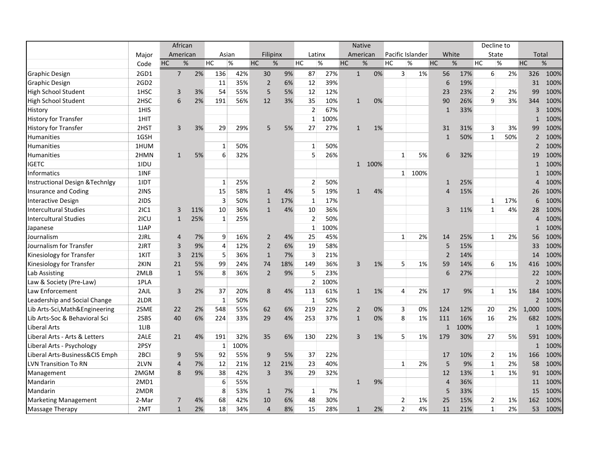|                                            |                  | African        |      |                |      |                |     |                |      |    | <b>Native</b>  |      |                |                  |                |       |    | Decline to     |      |                          |      |
|--------------------------------------------|------------------|----------------|------|----------------|------|----------------|-----|----------------|------|----|----------------|------|----------------|------------------|----------------|-------|----|----------------|------|--------------------------|------|
|                                            | Major            | American       |      | Asian          |      | Filipinx       |     | Latinx         |      |    | American       |      |                | Pacific Islander |                | White |    | State          |      | Total                    |      |
|                                            | Code             | HC             | $\%$ | HC             | $\%$ | HC             | %   | HC             | %    | HC | $\%$           |      | HC             | %                | HC             | %     | HC |                | $\%$ | HC                       | $\%$ |
| Graphic Design                             | 2GD1             | $\overline{7}$ | 2%   | 136            | 42%  | 30             | 9%  | 87             | 27%  |    | $\mathbf{1}$   | 0%   | 3 <sup>1</sup> | 1%               | 56             | 17%   |    | $6 \mid$       | 2%   | 326                      | 100% |
| <b>Graphic Design</b>                      | 2GD <sub>2</sub> |                |      | 11             | 35%  | $\overline{2}$ | 6%  | 12             | 39%  |    |                |      |                |                  | 6              | 19%   |    |                |      | 31                       | 100% |
| <b>High School Student</b>                 | 1HSC             | 3              | 3%   | 54             | 55%  | 5              | 5%  | 12             | 12%  |    |                |      |                |                  | 23             | 23%   |    | $\overline{2}$ | 2%   | 99                       | 100% |
| High School Student                        | 2HSC             | 6              | 2%   | 191            | 56%  | 12             | 3%  | 35             | 10%  |    | $\mathbf{1}$   | 0%   |                |                  | 90             | 26%   |    | 9              | 3%   | 344                      | 100% |
| History                                    | 1HIS             |                |      |                |      |                |     | $\overline{2}$ | 67%  |    |                |      |                |                  | $\mathbf{1}$   | 33%   |    |                |      | 3                        | 100% |
| <b>History for Transfer</b>                | 1HIT             |                |      |                |      |                |     | $\mathbf{1}$   | 100% |    |                |      |                |                  |                |       |    |                |      | $\mathbf{1}$             | 100% |
| <b>History for Transfer</b>                | 2HST             | 3              | 3%   | 29             | 29%  | 5              | 5%  | 27             | 27%  |    | $\mathbf{1}$   | 1%   |                |                  | 31             | 31%   |    | 3              | 3%   | 99                       | 100% |
| Humanities                                 | 1GSH             |                |      |                |      |                |     |                |      |    |                |      |                |                  | $\mathbf{1}$   | 50%   |    | $\mathbf{1}$   | 50%  | $\overline{2}$           | 100% |
| <b>Humanities</b>                          | 1HUM             |                |      | 1              | 50%  |                |     | $\mathbf{1}$   | 50%  |    |                |      |                |                  |                |       |    |                |      | $\overline{2}$           | 100% |
| <b>Humanities</b>                          | 2HMN             | $\mathbf{1}$   | 5%   | 6              | 32%  |                |     | 5              | 26%  |    |                |      | $\mathbf{1}$   | 5%               | 6              | 32%   |    |                |      | 19                       | 100% |
| <b>IGETC</b>                               | 1IDU             |                |      |                |      |                |     |                |      |    | $\mathbf{1}$   | 100% |                |                  |                |       |    |                |      | $\mathbf{1}$             | 100% |
| <b>Informatics</b>                         | 1INF             |                |      |                |      |                |     |                |      |    |                |      |                | 1 100%           |                |       |    |                |      | $\mathbf{1}$             | 100% |
| <b>Instructional Design &amp; Technlgy</b> | 1IDT             |                |      | 1              | 25%  |                |     | $\overline{2}$ | 50%  |    |                |      |                |                  | 1              | 25%   |    |                |      | Δ                        | 100% |
| <b>Insurance and Coding</b>                | 2INS             |                |      | 15             | 58%  | $\mathbf{1}$   | 4%  | 5              | 19%  |    | $\mathbf{1}$   | 4%   |                |                  | 4              | 15%   |    |                |      | 26                       | 100% |
| <b>Interactive Design</b>                  | 2IDS             |                |      | 3              | 50%  | $\mathbf{1}$   | 17% | $\mathbf{1}$   | 17%  |    |                |      |                |                  |                |       |    | $\mathbf{1}$   | 17%  | 6                        | 100% |
| <b>Intercultural Studies</b>               | <b>2IC1</b>      | 3              | 11%  | 10             | 36%  | $\mathbf{1}$   | 4%  | 10             | 36%  |    |                |      |                |                  | 3              | 11%   |    | $\mathbf{1}$   | 4%   | 28                       | 100% |
| <b>Intercultural Studies</b>               | 2ICU             | $\mathbf{1}$   | 25%  | 1              | 25%  |                |     | $\overline{2}$ | 50%  |    |                |      |                |                  |                |       |    |                |      | 4                        | 100% |
| Japanese                                   | 1JAP             |                |      |                |      |                |     | $\mathbf{1}$   | 100% |    |                |      |                |                  |                |       |    |                |      | $\mathbf{1}$             | 100% |
| Journalism                                 | 2JRL             | $\overline{4}$ | 7%   | 9              | 16%  | $\overline{2}$ | 4%  | 25             | 45%  |    |                |      | $\mathbf{1}$   | 2%               | 14             | 25%   |    | $\mathbf{1}$   | 2%   | 56                       | 100% |
| Journalism for Transfer                    | 2JRT             | 3              | 9%   | $\overline{4}$ | 12%  | $\overline{2}$ | 6%  | 19             | 58%  |    |                |      |                |                  | 5              | 15%   |    |                |      | 33                       | 100% |
| Kinesiology for Transfer                   | 1KIT             | 3              | 21%  | 5              | 36%  | $\mathbf{1}$   | 7%  | 3              | 21%  |    |                |      |                |                  | $\overline{2}$ | 14%   |    |                |      | 14                       | 100% |
| Kinesiology for Transfer                   | 2KIN             | 21             | 5%   | 99             | 24%  | 74             | 18% | 149            | 36%  |    | 3              | 1%   | 5              | 1%               | 59             | 14%   |    | 6              | 1%   | 416                      | 100% |
| Lab Assisting                              | 2MLB             | $\mathbf{1}$   | 5%   | 8              | 36%  | $\overline{2}$ | 9%  | 5              | 23%  |    |                |      |                |                  | 6              | 27%   |    |                |      | 22                       | 100% |
| Law & Society (Pre-Law)                    | 1PLA             |                |      |                |      |                |     | $\overline{2}$ | 100% |    |                |      |                |                  |                |       |    |                |      | $\overline{\phantom{0}}$ | 100% |
| Law Enforcement                            | 2AJL             | 3              | 2%   | 37             | 20%  | 8              | 4%  | 113            | 61%  |    | $\mathbf{1}$   | 1%   | 4              | 2%               | 17             | 9%    |    | $\mathbf{1}$   | 1%   | 184                      | 100% |
| Leadership and Social Change               | 2LDR             |                |      | $\mathbf{1}$   | 50%  |                |     | $\mathbf{1}$   | 50%  |    |                |      |                |                  |                |       |    |                |      | $\overline{\phantom{0}}$ | 100% |
| Lib Arts-Sci, Math&Engineering             | 2SME             | 22             | 2%   | 548            | 55%  | 62             | 6%  | 219            | 22%  |    | $\overline{2}$ | 0%   | 3              | 0%               | 124            | 12%   |    | 20             | 2%   | 1,000                    | 100% |
| Lib Arts-Soc & Behavioral Sci              | 2SBS             | 40             | 6%   | 224            | 33%  | 29             | 4%  | 253            | 37%  |    | $\mathbf{1}$   | 0%   | 8              | 1%               | 111            | 16%   |    | 16             | 2%   | 682                      | 100% |
| Liberal Arts                               | 1LIB             |                |      |                |      |                |     |                |      |    |                |      |                |                  | $\mathbf{1}$   | 100%  |    |                |      | $\mathbf{1}$             | 100% |
| Liberal Arts - Arts & Letters              | 2ALE             | 21             | 4%   | 191            | 32%  | 35             | 6%  | 130            | 22%  |    | $\overline{3}$ | 1%   | 5              | 1%               | 179            | 30%   |    | 27             | 5%   | 591                      | 100% |
| Liberal Arts - Psychology                  | 2PSY             |                |      | 1              | 100% |                |     |                |      |    |                |      |                |                  |                |       |    |                |      | $\mathbf{1}$             | 100% |
| Liberal Arts-Business&CIS Emph             | 2 <sub>BCI</sub> | 9              | 5%   | 92             | 55%  | 9              | 5%  | 37             | 22%  |    |                |      |                |                  | 17             | 10%   |    | $\overline{2}$ | 1%   | 166                      | 100% |
| <b>LVN Transition To RN</b>                | 2LVN             | 4              | 7%   | 12             | 21%  | 12             | 21% | 23             | 40%  |    |                |      | $\mathbf{1}$   | 2%               | 5              | 9%    |    | $\mathbf{1}$   | 2%   | 58                       | 100% |
| Management                                 | 2MGM             | 8              | 9%   | 38             | 42%  | $\overline{3}$ | 3%  | 29             | 32%  |    |                |      |                |                  | 12             | 13%   |    | $\mathbf{1}$   | 1%   | 91                       | 100% |
| Mandarin                                   | 2MD1             |                |      | 6              | 55%  |                |     |                |      |    | $\mathbf{1}$   | 9%   |                |                  | $\overline{4}$ | 36%   |    |                |      | 11                       | 100% |
| Mandarin                                   | 2MDR             |                |      | 8              | 53%  | $\mathbf{1}$   | 7%  | $\mathbf{1}$   | 7%   |    |                |      |                |                  | 5              | 33%   |    |                |      | 15                       | 100% |
| <b>Marketing Management</b>                | 2-Mar            | $\overline{7}$ | 4%   | 68             | 42%  | 10             | 6%  | 48             | 30%  |    |                |      | $\overline{2}$ | 1%               | 25             | 15%   |    | 2              | 1%   | 162                      | 100% |
| Massage Therapy                            | 2MT              | $\mathbf{1}$   | 2%   | 18             | 34%  | $\overline{4}$ | 8%  | 15             | 28%  |    | $\mathbf{1}$   | 2%   | $\overline{2}$ | 4%               | 11             | 21%   |    | $\mathbf{1}$   | 2%   | 53                       | 100% |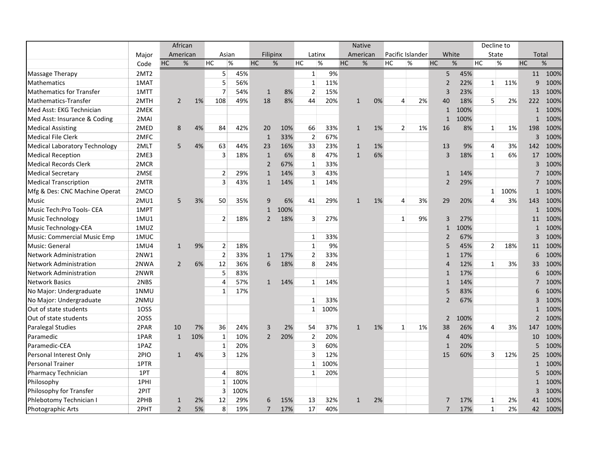|                                      |                  | African        |     |                |      |                |      |                         |      |           | <b>Native</b> |    |                  |      |                |       |           | Decline to      |      |           |                |      |
|--------------------------------------|------------------|----------------|-----|----------------|------|----------------|------|-------------------------|------|-----------|---------------|----|------------------|------|----------------|-------|-----------|-----------------|------|-----------|----------------|------|
|                                      | Major            | American       |     | Asian          |      | Filipinx       |      | Latinx                  |      |           | American      |    | Pacific Islander |      |                | White |           | State           |      |           | Total          |      |
|                                      | Code             | HC<br>%        |     | HC             | $\%$ | <b>HC</b>      | %    | HC                      | %    | <b>HC</b> | %             |    | HC               | $\%$ | <b>HC</b>      | %     | <b>HC</b> |                 | $\%$ | <b>HC</b> |                | $\%$ |
| Massage Therapy                      | 2MT <sub>2</sub> |                |     | 5 <sup>1</sup> | 45%  |                |      | $\mathbf 1$             | 9%   |           |               |    |                  |      | 5              |       | 45%       |                 |      |           | 11             | 100% |
| <b>Mathematics</b>                   | 1MAT             |                |     | 5              | 56%  |                |      | $\mathbf{1}$            | 11%  |           |               |    |                  |      | $\overline{2}$ |       | 22%       | $1\overline{ }$ | 11%  |           | 9              | 100% |
| <b>Mathematics for Transfer</b>      | 1MTT             |                |     | $\overline{7}$ | 54%  | $\mathbf{1}$   | 8%   | $\overline{2}$          | 15%  |           |               |    |                  |      | 3              |       | 23%       |                 |      |           | 13             | 100% |
| Mathematics-Transfer                 | 2MTH             | $\overline{2}$ | 1%  | 108            | 49%  | 18             | 8%   | 44                      | 20%  |           | $\mathbf{1}$  | 0% | 4                | 2%   | 40             |       | 18%       | 5 <sup>1</sup>  | 2%   |           | 222            | 100% |
| Med Asst: EKG Technician             | 2MEK             |                |     |                |      |                |      |                         |      |           |               |    |                  |      | $\mathbf{1}$   |       | 100%      |                 |      |           | $\mathbf{1}$   | 100% |
| Med Asst: Insurance & Coding         | 2MAI             |                |     |                |      |                |      |                         |      |           |               |    |                  |      | $\mathbf{1}$   |       | 100%      |                 |      |           | $\mathbf{1}$   | 100% |
| <b>Medical Assisting</b>             | 2MED             | 8              | 4%  | 84             | 42%  | 20             | 10%  | 66                      | 33%  |           | $\mathbf{1}$  | 1% | $\overline{2}$   | 1%   | 16             |       | 8%        | $\mathbf{1}$    | 1%   |           | 198            | 100% |
| <b>Medical File Clerk</b>            | 2MFC             |                |     |                |      | $\mathbf{1}$   | 33%  | $\overline{2}$          | 67%  |           |               |    |                  |      |                |       |           |                 |      |           | 3              | 100% |
| <b>Medical Laboratory Technology</b> | 2MLT             | 5              | 4%  | 63             | 44%  | 23             | 16%  | 33                      | 23%  |           | $\mathbf{1}$  | 1% |                  |      | 13             |       | 9%        | 4               | 3%   |           | 142            | 100% |
| <b>Medical Reception</b>             | 2ME3             |                |     | 3              | 18%  | $\mathbf{1}$   | 6%   | 8                       | 47%  |           | $\mathbf{1}$  | 6% |                  |      | $\overline{3}$ |       | 18%       | $\mathbf{1}$    | 6%   |           | 17             | 100% |
| <b>Medical Records Clerk</b>         | 2MCR             |                |     |                |      | $\overline{2}$ | 67%  | 1                       | 33%  |           |               |    |                  |      |                |       |           |                 |      |           | 3              | 100% |
| <b>Medical Secretary</b>             | 2MSE             |                |     | $\overline{2}$ | 29%  | $\mathbf{1}$   | 14%  | 3                       | 43%  |           |               |    |                  |      | $\mathbf{1}$   |       | 14%       |                 |      |           | 7              | 100% |
| <b>Medical Transcription</b>         | 2MTR             |                |     | $\overline{3}$ | 43%  | $\mathbf{1}$   | 14%  | $\mathbf{1}$            | 14%  |           |               |    |                  |      | $\overline{2}$ |       | 29%       |                 |      |           | $\overline{7}$ | 100% |
| Mfg & Des: CNC Machine Operat        | 2MCO             |                |     |                |      |                |      |                         |      |           |               |    |                  |      |                |       |           | 1               | 100% |           | $\mathbf{1}$   | 100% |
| Music                                | 2MU1             | 5              | 3%  | 50             | 35%  | 9              | 6%   | 41                      | 29%  |           | $\mathbf{1}$  | 1% | 4                | 3%   | 29             |       | 20%       | 4               | 3%   |           | 143            | 100% |
| Music Tech: Pro Tools- CEA           | 1MPT             |                |     |                |      | $\mathbf{1}$   | 100% |                         |      |           |               |    |                  |      |                |       |           |                 |      |           | $\mathbf{1}$   | 100% |
| Music Technology                     | 1MU1             |                |     | $\overline{2}$ | 18%  | $\overline{2}$ | 18%  | $\overline{\mathbf{3}}$ | 27%  |           |               |    | $\mathbf{1}$     | 9%   | 3              |       | 27%       |                 |      |           | 11             | 100% |
| Music Technology-CEA                 | 1MUZ             |                |     |                |      |                |      |                         |      |           |               |    |                  |      | $\mathbf{1}$   |       | 100%      |                 |      |           | $\mathbf{1}$   | 100% |
| Music: Commercial Music Emp          | 1MUC             |                |     |                |      |                |      | $\mathbf{1}$            | 33%  |           |               |    |                  |      | $\overline{2}$ |       | 67%       |                 |      |           | 3              | 100% |
| Music: General                       | 1MU4             | $\mathbf{1}$   | 9%  | $\overline{2}$ | 18%  |                |      | $\mathbf{1}$            | 9%   |           |               |    |                  |      | 5              |       | 45%       | $\overline{2}$  | 18%  |           | 11             | 100% |
| <b>Network Administration</b>        | 2NW1             |                |     | $\overline{2}$ | 33%  | $\mathbf{1}$   | 17%  | $\overline{2}$          | 33%  |           |               |    |                  |      | $\mathbf{1}$   |       | 17%       |                 |      |           | 6              | 100% |
| <b>Network Administration</b>        | 2NWA             | $\overline{2}$ | 6%  | 12             | 36%  | 6              | 18%  | 8                       | 24%  |           |               |    |                  |      | $\overline{4}$ |       | 12%       | $\mathbf{1}$    | 3%   |           | 33             | 100% |
| <b>Network Administration</b>        | 2NWR             |                |     | 5              | 83%  |                |      |                         |      |           |               |    |                  |      | $\mathbf{1}$   |       | 17%       |                 |      |           | 6              | 100% |
| <b>Network Basics</b>                | 2NBS             |                |     | $\overline{4}$ | 57%  | $\mathbf{1}$   | 14%  | $\mathbf{1}$            | 14%  |           |               |    |                  |      | $\mathbf{1}$   |       | 14%       |                 |      |           | 7              | 100% |
| No Major: Undergraduate              | 1NMU             |                |     | 1              | 17%  |                |      |                         |      |           |               |    |                  |      | 5              |       | 83%       |                 |      |           | 6              | 100% |
| No Major: Undergraduate              | 2NMU             |                |     |                |      |                |      | $\mathbf{1}$            | 33%  |           |               |    |                  |      | $\overline{2}$ |       | 67%       |                 |      |           | 3              | 100% |
| Out of state students                | 1OSS             |                |     |                |      |                |      | $1\overline{ }$         | 100% |           |               |    |                  |      |                |       |           |                 |      |           | $\mathbf{1}$   | 100% |
| Out of state students                | 2OSS             |                |     |                |      |                |      |                         |      |           |               |    |                  |      | $\overline{2}$ |       | 100%      |                 |      |           | $\overline{2}$ | 100% |
| <b>Paralegal Studies</b>             | 2PAR             | 10             | 7%  | 36             | 24%  | 3              | 2%   | 54                      | 37%  |           | $\mathbf{1}$  | 1% | $\mathbf{1}$     | 1%   | 38             |       | 26%       | $\overline{4}$  | 3%   |           | 147            | 100% |
| Paramedic                            | 1PAR             | $\mathbf{1}$   | 10% | $\mathbf{1}$   | 10%  | $\overline{2}$ | 20%  | $\overline{2}$          | 20%  |           |               |    |                  |      | $\overline{4}$ |       | 40%       |                 |      |           | 10             | 100% |
| Paramedic-CEA                        | 1PAZ             |                |     | $\mathbf{1}$   | 20%  |                |      | 3                       | 60%  |           |               |    |                  |      | $\mathbf{1}$   |       | 20%       |                 |      |           | 5              | 100% |
| Personal Interest Only               | 2PIO             | 1              | 4%  | 3              | 12%  |                |      | 3                       | 12%  |           |               |    |                  |      | 15             |       | 60%       | $\overline{3}$  | 12%  |           | 25             | 100% |
| <b>Personal Trainer</b>              | 1PTR             |                |     |                |      |                |      | 1                       | 100% |           |               |    |                  |      |                |       |           |                 |      |           | $\mathbf{1}$   | 100% |
| Pharmacy Technician                  | 1PT              |                |     | $\overline{4}$ | 80%  |                |      | $\mathbf{1}$            | 20%  |           |               |    |                  |      |                |       |           |                 |      |           | 5              | 100% |
| Philosophy                           | 1PHI             |                |     | $\mathbf{1}$   | 100% |                |      |                         |      |           |               |    |                  |      |                |       |           |                 |      |           | $\mathbf{1}$   | 100% |
| Philosophy for Transfer              | 2PIT             |                |     | 3              | 100% |                |      |                         |      |           |               |    |                  |      |                |       |           |                 |      |           | 3              | 100% |
| Phlebotomy Technician I              | 2PHB             | $\mathbf{1}$   | 2%  | 12             | 29%  | 6              | 15%  | 13                      | 32%  |           | $\mathbf{1}$  | 2% |                  |      | 7              |       | 17%       | $\mathbf{1}$    | 2%   |           | 41             | 100% |
| Photographic Arts                    | 2PHT             | $\overline{2}$ | 5%  | 8              | 19%  | $\overline{7}$ | 17%  | 17                      | 40%  |           |               |    |                  |      | $\overline{7}$ |       | 17%       | $\mathbf{1}$    | 2%   |           | 42             | 100% |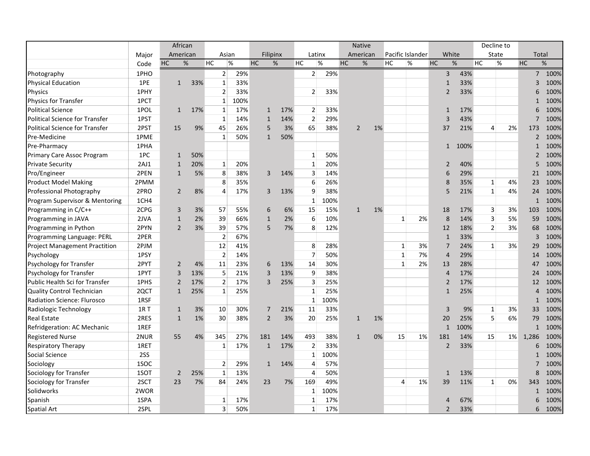|                                       |       | African        |     |                |      |                |     |                |      | <b>Native</b>  |    |    |                    |                |       |           | Decline to     |    |                |                     |
|---------------------------------------|-------|----------------|-----|----------------|------|----------------|-----|----------------|------|----------------|----|----|--------------------|----------------|-------|-----------|----------------|----|----------------|---------------------|
|                                       | Major | American       |     | Asian          |      | Filipinx       |     | Latinx         |      | American       |    |    | Pacific Islander   |                | White |           | State          |    |                | Total               |
|                                       | Code  | HC             | %   | <b>HC</b>      | $\%$ | <b>HC</b>      | %   | HC             | %    | <b>HC</b>      | %  | HC | $\%$               | <b>HC</b>      | $\%$  | <b>HC</b> | %              |    | HC             | %                   |
| Photography                           | 1PHO  |                |     | $\overline{2}$ | 29%  |                |     | 2 <sup>1</sup> | 29%  |                |    |    |                    | $\overline{3}$ |       | 43%       |                |    |                | $7^{\circ}$<br>100% |
| <b>Physical Education</b>             | 1PE   | $\mathbf{1}$   | 33% | $\mathbf{1}$   | 33%  |                |     |                |      |                |    |    |                    | $\mathbf{1}$   |       | 33%       |                |    | $\overline{3}$ | 100%                |
| Physics                               | 1PHY  |                |     | $\overline{2}$ | 33%  |                |     | $\overline{2}$ | 33%  |                |    |    |                    | $\overline{2}$ |       | 33%       |                |    | 6              | 100%                |
| <b>Physics for Transfer</b>           | 1PCT  |                |     | $\mathbf{1}$   | 100% |                |     |                |      |                |    |    |                    |                |       |           |                |    | $\mathbf{1}$   | 100%                |
| <b>Political Science</b>              | 1POL  | $\mathbf{1}$   | 17% | $\mathbf{1}$   | 17%  | $\mathbf{1}$   | 17% | 2              | 33%  |                |    |    |                    | $\mathbf{1}$   |       | 17%       |                |    | 6              | 100%                |
| <b>Political Science for Transfer</b> | 1PST  |                |     | $\mathbf{1}$   | 14%  | $\mathbf{1}$   | 14% | $\overline{2}$ | 29%  |                |    |    |                    | $\overline{3}$ |       | 43%       |                |    | $\overline{7}$ | 100%                |
| <b>Political Science for Transfer</b> | 2PST  | 15             | 9%  | 45             | 26%  | 5              | 3%  | 65             | 38%  | $\overline{2}$ |    | 1% |                    | 37             |       | 21%       | $\overline{4}$ | 2% | 173            | 100%                |
| Pre-Medicine                          | 1PME  |                |     | $\mathbf{1}$   | 50%  | $\mathbf{1}$   | 50% |                |      |                |    |    |                    |                |       |           |                |    | $\overline{2}$ | 100%                |
| Pre-Pharmacy                          | 1PHA  |                |     |                |      |                |     |                |      |                |    |    |                    | $\mathbf{1}$   | 100%  |           |                |    | $\mathbf{1}$   | 100%                |
| Primary Care Assoc Program            | 1PC   | $\mathbf{1}$   | 50% |                |      |                |     | 1              | 50%  |                |    |    |                    |                |       |           |                |    | $\overline{2}$ | 100%                |
| <b>Private Security</b>               | 2AJ1  | $\mathbf{1}$   | 20% | $\mathbf{1}$   | 20%  |                |     | 1              | 20%  |                |    |    |                    | $\overline{2}$ |       | 40%       |                |    | 5              | 100%                |
| Pro/Engineer                          | 2PEN  | $\mathbf{1}$   | 5%  | 8              | 38%  | 3              | 14% | 3              | 14%  |                |    |    |                    | 6              |       | 29%       |                |    | 21             | 100%                |
| <b>Product Model Making</b>           | 2PMM  |                |     | 8              | 35%  |                |     | 6              | 26%  |                |    |    |                    | 8              |       | 35%       | $\mathbf{1}$   | 4% | 23             | 100%                |
| Professional Photography              | 2PRO  | $\overline{2}$ | 8%  | $\overline{4}$ | 17%  | 3              | 13% | 9              | 38%  |                |    |    |                    | 5              |       | 21%       | $\mathbf{1}$   | 4% | 24             | 100%                |
| Program Supervisor & Mentoring        | 1CH4  |                |     |                |      |                |     | $\mathbf{1}$   | 100% |                |    |    |                    |                |       |           |                |    | $\mathbf{1}$   | 100%                |
| Programming in C/C++                  | 2CPG  | 3              | 3%  | 57             | 55%  | 6              | 6%  | 15             | 15%  | $\mathbf{1}$   | 1% |    |                    | 18             |       | 17%       | $\overline{3}$ | 3% | 103            | 100%                |
| Programming in JAVA                   | 2JVA  | $\mathbf{1}$   | 2%  | 39             | 66%  | $\mathbf{1}$   | 2%  | 6              | 10%  |                |    |    | $\mathbf{1}$<br>2% | 8              |       | 14%       | $\overline{3}$ | 5% | 59             | 100%                |
| Programming in Python                 | 2PYN  | $\overline{2}$ | 3%  | 39             | 57%  | 5              | 7%  | 8              | 12%  |                |    |    |                    | 12             |       | 18%       | $\overline{2}$ | 3% | 68             | 100%                |
| Programming Language: PERL            | 2PER  |                |     | $\overline{2}$ | 67%  |                |     |                |      |                |    |    |                    | $\mathbf{1}$   |       | 33%       |                |    | $\overline{3}$ | 100%                |
| <b>Project Management Practition</b>  | 2PJM  |                |     | 12             | 41%  |                |     | 8              | 28%  |                |    |    | 3%<br>$\mathbf{1}$ | $\overline{7}$ |       | 24%       | $\mathbf{1}$   | 3% | 29             | 100%                |
| Psychology                            | 1PSY  |                |     | $\overline{2}$ | 14%  |                |     | $\overline{7}$ | 50%  |                |    |    | $\mathbf 1$<br>7%  | $\overline{4}$ |       | 29%       |                |    | 14             | 100%                |
| <b>Psychology for Transfer</b>        | 2PYT  | $\overline{2}$ | 4%  | 11             | 23%  | 6              | 13% | 14             | 30%  |                |    |    | $\mathbf{1}$<br>2% | 13             |       | 28%       |                |    | 47             | 100%                |
| Psychology for Transfer               | 1PYT  | 3              | 13% | 5              | 21%  | 3              | 13% | 9              | 38%  |                |    |    |                    | $\overline{4}$ |       | 17%       |                |    | 24             | 100%                |
| Public Health Sci for Transfer        | 1PHS  | $\overline{2}$ | 17% | $\overline{2}$ | 17%  | 3              | 25% | 3              | 25%  |                |    |    |                    | $\overline{2}$ |       | 17%       |                |    | 12             | 100%                |
| <b>Quality Control Technician</b>     | 2QCT  | $\mathbf{1}$   | 25% | $\mathbf{1}$   | 25%  |                |     | $\mathbf{1}$   | 25%  |                |    |    |                    | $\mathbf{1}$   |       | 25%       |                |    | $\overline{4}$ | 100%                |
| <b>Radiation Science: Flurosco</b>    | 1RSF  |                |     |                |      |                |     | 1              | 100% |                |    |    |                    |                |       |           |                |    | $\mathbf{1}$   | 100%                |
| Radiologic Technology                 | 1R T  | $\mathbf{1}$   | 3%  | 10             | 30%  | 7              | 21% | 11             | 33%  |                |    |    |                    | $\overline{3}$ |       | 9%        | $\mathbf{1}$   | 3% | 33             | 100%                |
| <b>Real Estate</b>                    | 2RES  | $\mathbf{1}$   | 1%  | 30             | 38%  | $\overline{2}$ | 3%  | 20             | 25%  | $\mathbf{1}$   | 1% |    |                    | 20             |       | 25%       | 5 <sup>1</sup> | 6% | 79             | 100%                |
| Refridgeration: AC Mechanic           | 1REF  |                |     |                |      |                |     |                |      |                |    |    |                    | $\mathbf{1}$   | 100%  |           |                |    | $\mathbf{1}$   | 100%                |
| <b>Registered Nurse</b>               | 2NUR  | 55             | 4%  | 345            | 27%  | 181            | 14% | 493            | 38%  | $\mathbf{1}$   |    | 0% | 15<br>1%           | 181            |       | 14%       | 15             | 1% | 1,286          | 100%                |
| <b>Respiratory Therapy</b>            | 1RET  |                |     | 1              | 17%  | $\mathbf{1}$   | 17% | $\overline{2}$ | 33%  |                |    |    |                    | $\overline{2}$ |       | 33%       |                |    | 6              | 100%                |
| Social Science                        | 2SS   |                |     |                |      |                |     | $\mathbf{1}$   | 100% |                |    |    |                    |                |       |           |                |    | $\mathbf{1}$   | 100%                |
| Sociology                             | 1SOC  |                |     | $\overline{2}$ | 29%  | $\mathbf{1}$   | 14% | 4              | 57%  |                |    |    |                    |                |       |           |                |    | $\overline{7}$ | 100%                |
| Sociology for Transfer                | 1SOT  | $\overline{2}$ | 25% | 1              | 13%  |                |     | 4              | 50%  |                |    |    |                    | $\mathbf{1}$   |       | 13%       |                |    | 8              | 100%                |
| Sociology for Transfer                | 2SCT  | 23             | 7%  | 84             | 24%  | 23             | 7%  | 169            | 49%  |                |    |    | 1%<br>4            | 39             |       | 11%       | $\mathbf{1}$   | 0% | 343            | 100%                |
| Solidworks                            | 2WOR  |                |     |                |      |                |     | 1              | 100% |                |    |    |                    |                |       |           |                |    | $\mathbf 1$    | 100%                |
| Spanish                               | 1SPA  |                |     | 1              | 17%  |                |     | 1              | 17%  |                |    |    |                    | $\overline{4}$ |       | 67%       |                |    | 6              | 100%                |
| <b>Spatial Art</b>                    | 2SPL  |                |     | 3              | 50%  |                |     | $\mathbf{1}$   | 17%  |                |    |    |                    | $\overline{2}$ |       | 33%       |                |    |                | 100%<br>6           |